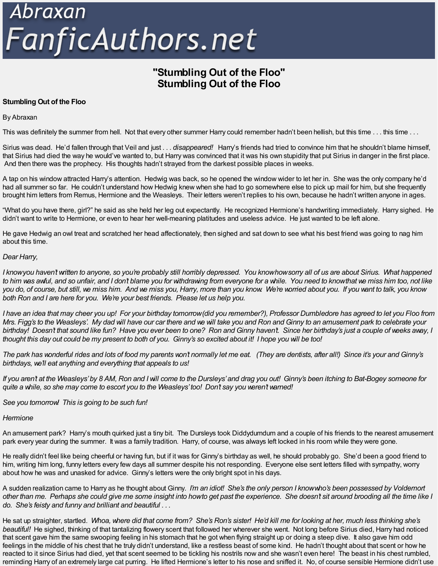# Abraxan<br>FanficAuthors.net

# **"Stumbling Out of the Floo" Stumbling Out of the Floo**

# **Stumbling Out of the Floo**

# By Abraxan

This was definitely the summer from hell. Not that every other summer Harry could remember hadn't been hellish, but this time ... this time ...

Sirius was dead. He'd fallen through that Veil and just . . . *disappeared!* Harry's friends had tried to convince him that he shouldn't blame himself, that Sirius had died the way he would've wanted to, but Harry was convinced that it was his own stupidity that put Sirius in danger in the first place. And then there was the prophecy. His thoughts hadn't strayed from the darkest possible places in weeks.

A tap on his window attracted Harry's attention. Hedwig was back, so he opened the window wider to let her in. She was the only company he'd had all summer so far. He couldn't understand how Hedwig knew when she had to go somewhere else to pick up mail for him, but she frequently brought him letters from Remus, Hermione and the Weasleys. Their letters weren't replies to his own, because he hadn't written anyone in ages.

"What do you have there, girl?" he said as she held her leg out expectantly. He recognized Hermione's handwriting immediately. Harry sighed. He didn't want to write to Hermione, or even to hear her well-meaning platitudes and useless advice. He just wanted to be left alone.

He gave Hedwig an owl treat and scratched her head affectionately, then sighed and sat down to see what his best friend was going to nag him about this time.

# *Dear Harry,*

I knowyou haven't written to anyone, so you're probably still horribly depressed. You knowhowsorry all of us are about Sirius. What happened to him was awful, and so unfair, and I don't blame you for withdrawing from everyone for a while. You need to know that we miss him too, not like you do, of course, but still, we miss him. And we miss you, Harry, more than you know. We're worried about you. If you want to talk, you know *both Ron and I are here for you. We're your best friends. Please let us help you.*

I have an idea that may cheer you up! For your birthday tomorrow(did you remember?), Professor Dumbledore has agreed to let you Floo from Mrs. Figg's to the Weasleys'. My dad will have our car there and we will take you and Ron and Ginny to an amusement park to celebrate your birthday! Doesn't that sound like fun? Have you ever been to one? Ron and Ginny haven't. Since her birthday's just a couple of weeks away, I thought this day out could be my present to both of you. Ginny's so excited about it! I hope you will be too!

The park has wonderful rides and lots of food my parents won't normally let me eat. (They are dentists, after all!) Since it's your and Ginny's *birthdays, we'll eat anything and everything that appeals to us!*

If you aren't at the Weasleys' by 8 AM, Ron and I will come to the Dursleys' and drag you out! Ginny's been itching to Bat-Bogey someone for *quite a while, so she may come to escort you to the Weasleys'too! Don't say you weren't warned!*

*See you tomorrow! This is going to be such fun!*

### *Hermione*

An amusement park? Harry's mouth quirked just a tiny bit. The Dursleys took Diddydumdum and a couple of his friends to the nearest amusement park every year during the summer. It was a family tradition. Harry, of course, was always left locked in his room while they were gone.

He really didn't feel like being cheerful or having fun, but if it was for Ginny's birthday as well, he should probably go. She'd been a good friend to him, writing him long, funny letters every few days all summer despite his not responding. Everyone else sent letters filled with sympathy, worry about how he was and unasked for advice. Ginny's letters were the only bright spot in his days.

A sudden realization came to Harry as he thought about Ginny. I'm an idiot! She's the only person I knowwho's been possessed by Voldemort other than me. Perhaps she could give me some insight into howto get past the experience. She doesn't sit around brooding all the time like I *do. She's feisty and funny and brilliant and beautiful . . .*

He sat up straighter, startled. Whoa, where did that come from? She's Ron's sister! He'd kill me for looking at her, much less thinking she's *beautiful!* He sighed, thinking of that tantalizing flowery scent that followed her wherever she went. Not long before Sirius died, Harry had noticed that scent gave him the same swooping feeling in his stomach that he got when flying straight up or doing a steep dive. It also gave him odd feelings in the middle of his chest that he truly didn't understand, like a restless beast of some kind. He hadn't thought about that scent or how he reacted to it since Sirius had died, yet that scent seemed to be tickling his nostrils now and she wasn't even here! The beast in his chest rumbled, reminding Harry of an extremely large cat purring. He lifted Hermione's letter to his nose and sniffed it. No, of course sensible Hermione didn't use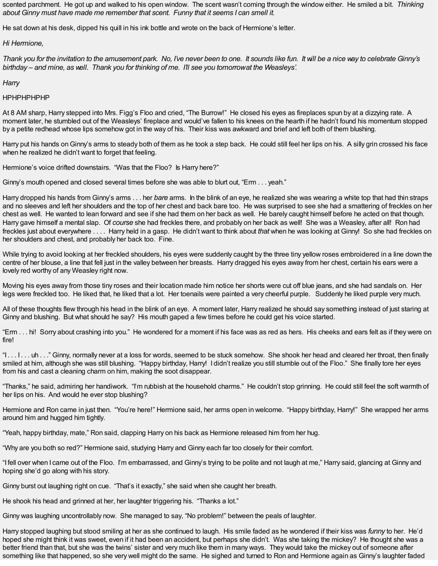scented parchment. He got up and walked to his open window. The scent wasn't coming through the window either. He smiled a bit. *Thinking about Ginny must have made me remember that scent. Funny that it seems I can smell it.*

He sat down at his desk, dipped his quill in his ink bottle and wrote on the back of Hermione's letter.

# *Hi Hermione,*

Thank you for the invitation to the amusement park. No, I've never been to one. It sounds like fun. It will be a nice way to celebrate Ginny's *birthday – and mine, as well. Thank you for thinking of me. I'll see you tomorrowat the Weasleys'.*

*Harry*

### HPHPHPHPHP

At 8 AM sharp, Harry stepped into Mrs. Figg's Floo and cried, "The Burrow!" He closed his eyes as fireplaces spun by at a dizzying rate. A moment later, he stumbled out of the Weasleys' fireplace and would've fallen to his knees on the hearth if he hadn't found his momentum stopped by a petite redhead whose lips somehow got in the way of his. Their kiss was awkward and brief and left both of them blushing.

Harry put his hands on Ginny's arms to steady both of them as he took a step back. He could still feel her lips on his. A silly grin crossed his face when he realized he didn't want to forget that feeling.

Hermione's voice drifted downstairs. "Was that the Floo? Is Harry here?"

Ginny's mouth opened and closed several times before she was able to blurt out, "Erm . . . yeah."

Harry dropped his hands from Ginny's arms . . . her *bare* arms. In the blink of an eye, he realized she was wearing a white top that had thin straps and no sleeves and left her shoulders and the top of her chest and back bare too. He was surprised to see she had a smattering of freckles on her chest as well. He wanted to lean forward and see if she had them on her back as well. He barely caught himself before he acted on that though. Harry gave himself a mental slap. Of *course* she had freckles there, and probably on her back as well! She was a Weasley, after all! Ron had freckles just about everywhere . . . . Harry held in a gasp. He didn't want to think about *that* when he was looking at Ginny! So she had freckles on her shoulders and chest, and probably her back too. Fine.

While trying to avoid looking at her freckled shoulders, his eyes were suddenly caught by the three tiny yellow roses embroidered in a line down the centre of her blouse, a line that fell just in the valley between her breasts. Harry dragged his eyes away from her chest, certain his ears were a lovely red worthy of any Weasley right now.

Moving his eyes away from those tiny roses and their location made him notice her shorts were cut off blue jeans, and she had sandals on. Her legs were freckled too. He liked that, he liked that a lot. Her toenails were painted a very cheerful purple. Suddenly he liked purple very much.

All of these thoughts flew through his head in the blink of an eye. A moment later, Harry realized he should say something instead of just staring at Ginny and blushing. But what should he say? His mouth gaped a few times before he could get his voice started.

"Erm . . . hi! Sorry about crashing into you." He wondered for a moment if his face was as red as hers. His cheeks and ears felt as if they were on fire!

"I . . . I . . . uh . . ." Ginny, normally never at a loss for words, seemed to be stuck somehow. She shook her head and cleared her throat, then finally smiled at him, although she was still blushing. "Happy birthday, Harry! I didn't realize you still stumble out of the Floo." She finally tore her eyes from his and cast a cleaning charm on him, making the soot disappear.

"Thanks," he said, admiring her handiwork. "I'm rubbish at the household charms." He couldn't stop grinning. He could still feel the soft warmth of her lips on his. And would he ever stop blushing?

Hermione and Ron came in just then. "You're here!" Hermione said, her arms open in welcome. "Happy birthday, Harry!" She wrapped her arms around him and hugged him tightly.

"Yeah, happy birthday, mate," Ron said, clapping Harry on his back as Hermione released him from her hug.

"Why are you both so red?" Hermione said, studying Harry and Ginny each far too closely for their comfort.

"I fell over when I came out of the Floo. I'm embarrassed, and Ginny's trying to be polite and not laugh at me," Harry said, glancing at Ginny and hoping she'd go along with his story.

Ginny burst out laughing right on cue. "That's it exactly," she said when she caught her breath.

He shook his head and grinned at her, her laughter triggering his. "Thanks a lot."

Ginny was laughing uncontrollably now. She managed to say, "No problem!" between the peals of laughter.

Harry stopped laughing but stood smiling at her as she continued to laugh. His smile faded as he wondered if their kiss was *funny* to her. He'd hoped she might think it was sweet, even if it had been an accident, but perhaps she didn't. Was she taking the mickey? He thought she was a better friend than that, but she was the twins' sister and very much like them in many ways. They would take the mickey out of someone after something like that happened, so she very well might do the same. He sighed and turned to Ron and Hermione again as Ginny's laughter faded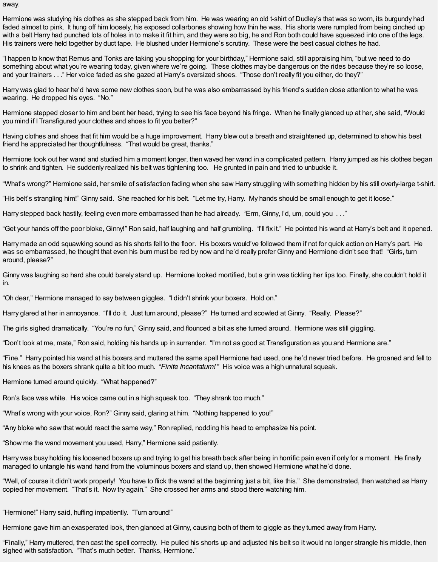away.

Hermione was studying his clothes as she stepped back from him. He was wearing an old t-shirt of Dudley's that was so worn, its burgundy had faded almost to pink. It hung off him loosely, his exposed collarbones showing how thin he was. His shorts were rumpled from being cinched up with a belt Harry had punched lots of holes in to make it fit him, and they were so big, he and Ron both could have squeezed into one of the legs. His trainers were held together by duct tape. He blushed under Hermione's scrutiny. These were the best casual clothes he had.

"I happen to know that Remus and Tonks are taking you shopping for your birthday," Hermione said, still appraising him, "but we need to do something about what you're wearing today, given where we're going. These clothes may be dangerous on the rides because they're so loose, and your trainers . . ." Her voice faded as she gazed at Harry's oversized shoes. "Those don't really fit you either, do they?"

Harry was glad to hear he'd have some new clothes soon, but he was also embarrassed by his friend's sudden close attention to what he was wearing. He dropped his eyes. "No."

Hermione stepped closer to him and bent her head, trying to see his face beyond his fringe. When he finally glanced up at her, she said, "Would you mind if I Transfigured your clothes and shoes to fit you better?"

Having clothes and shoes that fit him would be a huge improvement. Harry blew out a breath and straightened up, determined to show his best friend he appreciated her thoughtfulness. "That would be great, thanks."

Hermione took out her wand and studied him a moment longer, then waved her wand in a complicated pattern. Harry jumped as his clothes began to shrink and tighten. He suddenly realized his belt was tightening too. He grunted in pain and tried to unbuckle it.

"What's wrong?" Hermione said, her smile of satisfaction fading when she saw Harry struggling with something hidden by his still overly-large t-shirt.

"His belt's strangling him!" Ginny said. She reached for his belt. "Let me try, Harry. My hands should be small enough to get it loose."

Harry stepped back hastily, feeling even more embarrassed than he had already. "Erm, Ginny, I'd, um, could you . . ."

"Get your hands off the poor bloke, Ginny!" Ron said, half laughing and half grumbling. "I'll fix it." He pointed his wand at Harry's belt and it opened.

Harry made an odd squawking sound as his shorts fell to the floor. His boxers would've followed them if not for quick action on Harry's part. He was so embarrassed, he thought that even his bum must be red by now and he'd really prefer Ginny and Hermione didn't see that! "Girls, turn around, please?"

Ginny was laughing so hard she could barely stand up. Hermione looked mortified, but a grin was tickling her lips too. Finally, she couldn't hold it in.

"Oh dear," Hermione managed to say between giggles. "I didn't shrink your boxers. Hold on."

Harry glared at her in annoyance. "I'll do it. Just turn around, please?" He turned and scowled at Ginny. "Really. Please?"

The girls sighed dramatically. "You're no fun," Ginny said, and flounced a bit as she turned around. Hermione was still giggling.

"Don't look at me, mate," Ron said, holding his hands up in surrender. "I'm not as good at Transfiguration as you and Hermione are."

"Fine." Harry pointed his wand at his boxers and muttered the same spell Hermione had used, one he'd never tried before. He groaned and fell to his knees as the boxers shrank quite a bit too much. "*Finite Incantatum!* " His voice was a high unnatural squeak.

Hermione turned around quickly. "What happened?"

Ron's face was white. His voice came out in a high squeak too. "They shrank too much."

"What's wrong with your voice, Ron?" Ginny said, glaring at him. "Nothing happened to you!"

"Any bloke who saw that would react the same way," Ron replied, nodding his head to emphasize his point.

"Show me the wand movement you used, Harry," Hermione said patiently.

Harry was busy holding his loosened boxers up and trying to get his breath back after being in horrific pain even if only for a moment. He finally managed to untangle his wand hand from the voluminous boxers and stand up, then showed Hermione what he'd done.

"Well, of course it didn't work properly! You have to flick the wand at the beginning just a bit, like this." She demonstrated, then watched as Harry copied her movement. "That's it. Now try again." She crossed her arms and stood there watching him.

"Hermione!" Harry said, huffing impatiently. "Turn around!"

Hermione gave him an exasperated look, then glanced at Ginny, causing both of them to giggle as they turned away from Harry.

"Finally," Harry muttered, then cast the spell correctly. He pulled his shorts up and adjusted his belt so it would no longer strangle his middle, then sighed with satisfaction. "That's much better. Thanks, Hermione."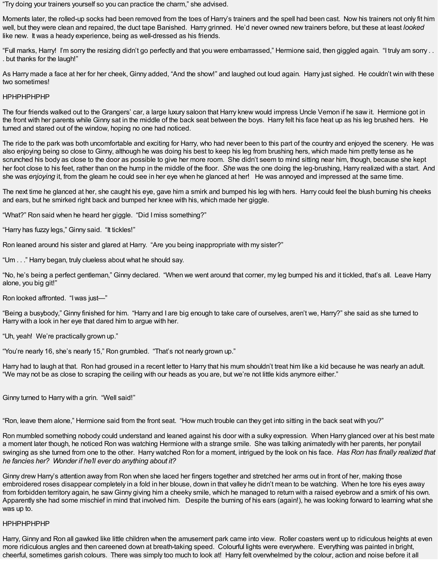"Try doing your trainers yourself so you can practice the charm," she advised.

Moments later, the rolled-up socks had been removed from the toes of Harry's trainers and the spell had been cast. Now his trainers not only fit him well, but they were clean and repaired, the duct tape Banished. Harry grinned. He'd never owned new trainers before, but these at least *looked* like new. It was a heady experience, being as well-dressed as his friends.

"Full marks, Harry! I'm sorry the resizing didn't go perfectly and that you were embarrassed," Hermione said, then giggled again. "I truly am sorry . . . but thanks for the laugh!"

As Harry made a face at her for her cheek, Ginny added, "And the show!" and laughed out loud again. Harry just sighed. He couldn't win with these two sometimes!

## HPHPHPHPHP

The four friends walked out to the Grangers' car, a large luxury saloon that Harry knew would impress Uncle Vernon if he saw it. Hermione got in the front with her parents while Ginny sat in the middle of the back seat between the boys. Harry felt his face heat up as his leg brushed hers. He turned and stared out of the window, hoping no one had noticed.

The ride to the park was both uncomfortable and exciting for Harry, who had never been to this part of the country and enjoyed the scenery. He was also enjoying being so close to Ginny, although he was doing his best to keep his leg from brushing hers, which made him pretty tense as he scrunched his body as close to the door as possible to give her more room. She didn't seem to mind sitting near him, though, because she kept her foot close to his feet, rather than on the hump in the middle of the floor. *She* was the one doing the leg-brushing, Harry realized with a start. And she was *enjoying* it, from the gleam he could see in her eye when he glanced at her! He was annoyed and impressed at the same time.

The next time he glanced at her, she caught his eye, gave him a smirk and bumped his leg with hers. Harry could feel the blush burning his cheeks and ears, but he smirked right back and bumped her knee with his, which made her giggle.

"What?" Ron said when he heard her giggle. "Did Imiss something?"

"Harry has fuzzy legs," Ginny said. "It tickles!"

Ron leaned around his sister and glared at Harry. "Are you being inappropriate with my sister?"

"Um . . ." Harry began, truly clueless about what he should say.

"No, he's being a perfect gentleman," Ginny declared. "When we went around that corner, my leg bumped his and it tickled, that's all. Leave Harry alone, you big git!"

Ron looked affronted. "Iwas just—"

"Being a busybody," Ginny finished for him. "Harry and I are big enough to take care of ourselves, aren't we, Harry?" she said as she turned to Harry with a look in her eye that dared him to argue with her.

"Uh, yeah! We're practically grown up."

"You're nearly 16, she's nearly 15," Ron grumbled. "That's not nearly grown up."

Harry had to laugh at that. Ron had groused in a recent letter to Harry that his mum shouldn't treat him like a kid because he was nearly an adult. "We may not be as close to scraping the ceiling with our heads as you are, but we're not little kids anymore either."

Ginny turned to Harry with a grin. "Well said!"

"Ron, leave them alone," Hermione said from the front seat. "How much trouble can they get into sitting in the back seat with you?"

Ron mumbled something nobody could understand and leaned against his door with a sulky expression. When Harry glanced over at his best mate a moment later though, he noticed Ron was watching Hermione with a strange smile. She was talking animatedly with her parents, her ponytail swinging as she turned from one to the other. Harry watched Ron for a moment, intrigued by the look on his face. *Has Ron has finally realized that he fancies her? Wonder if he'll ever do anything about it?*

Ginny drew Harry's attention away from Ron when she laced her fingers together and stretched her arms out in front of her, making those embroidered roses disappear completely in a fold in her blouse, down in that valley he didn't mean to be watching. When he tore his eyes away from forbidden territory again, he saw Ginny giving him a cheeky smile, which he managed to return with a raised eyebrow and a smirk of his own. Apparently she had some mischief in mind that involved him. Despite the burning of his ears (again!), he was looking forward to learning what she was up to.

### HPHPHPHPHP

Harry, Ginny and Ron all gawked like little children when the amusement park came into view. Roller coasters went up to ridiculous heights at even more ridiculous angles and then careened down at breath-taking speed. Colourful lights were everywhere. Everything was painted in bright, cheerful, sometimes garish colours. There was simply too much to look at! Harry felt overwhelmed by the colour, action and noise before it all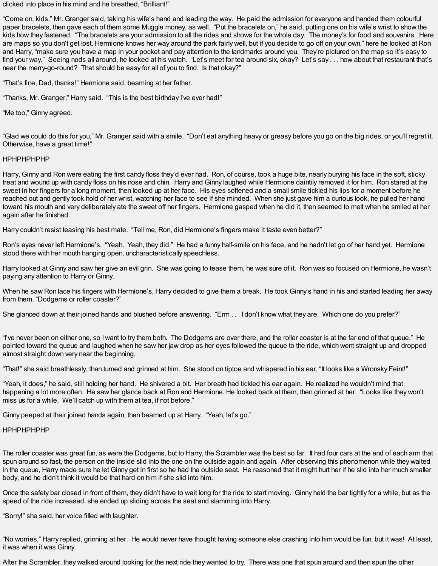clicked into place in his mind and he breathed, "Brilliant!"

"Come on, kids," Mr. Granger said, taking his wife's hand and leading the way. He paid the admission for everyone and handed them colourful paper bracelets, then gave each of them some Muggle money, as well. "Put the bracelets on," he said, putting one on his wife's wrist to show the kids how they fastened. "The bracelets are your admission to all the rides and shows for the whole day. The money's for food and souvenirs. Here are maps so you don't get lost. Hermione knows her way around the park fairly well, but if you decide to go off on your own," here he looked at Ron and Harry, "make sure you have a map in your pocket and pay attention to the landmarks around you. They're pictured on the map so it's easy to find your way." Seeing nods all around, he looked at his watch. "Let's meet for tea around six, okay? Let's say . . . how about that restaurant that's near the merry-go-round? That should be easy for all of you to find. Is that okay?"

"That's fine, Dad, thanks!" Hermione said, beaming at her father.

"Thanks, Mr. Granger," Harry said. "This is the best birthday I've ever had!"

"Me too," Ginny agreed.

"Glad we could do this for you," Mr. Granger said with a smile. "Don't eat anything heavy or greasy before you go on the big rides, or you'll regret it. Otherwise, have a great time!"

### HPHPHPHPHP

Harry, Ginny and Ron were eating the first candy floss they'd ever had. Ron, of course, took a huge bite, nearly burying his face in the soft, sticky treat and wound up with candy floss on his nose and chin. Harry and Ginny laughed while Hermione daintily removed it for him. Ron stared at the sweet in her fingers for a long moment, then looked up at her face. His eyes softened and a small smile tickled his lips for a moment before he reached out and gently took hold of her wrist, watching her face to see if she minded. When she just gave him a curious look, he pulled her hand toward his mouth and very deliberately ate the sweet off her fingers. Hermione gasped when he did it, then seemed to melt when he smiled at her again after he finished.

Harry couldn't resist teasing his best mate. "Tell me, Ron, did Hermione's fingers make it taste even better?"

Ron's eyes never left Hermione's. "Yeah. Yeah, they did." He had a funny half-smile on his face, and he hadn't let go of her hand yet. Hermione stood there with her mouth hanging open, uncharacteristically speechless.

Harry looked at Ginny and saw her give an evil grin. She was going to tease them, he was sure of it. Ron was so focused on Hermione, he wasn't paying any attention to Harry or Ginny.

When he saw Ron lace his fingers with Hermione's, Harry decided to give them a break. He took Ginny's hand in his and started leading her away from them. "Dodgems or roller coaster?"

She glanced down at their joined hands and blushed before answering. "Erm . . . I don't know what they are. Which one do you prefer?"

"I've never been on either one, so Iwant to try them both. The Dodgems are over there, and the roller coaster is at the far end of that queue." He pointed toward the queue and laughed when he saw her jaw drop as her eyes followed the queue to the ride, which went straight up and dropped almost straight down very near the beginning.

"That!" she said breathlessly, then turned and grinned at him. She stood on tiptoe and whispered in his ear, "It looks like a Wronsky Feint!"

"Yeah, it does," he said, still holding her hand. He shivered a bit. Her breath had tickled his ear again. He realized he wouldn't mind that happening a lot more often. He saw her glance back at Ron and Hermione. He looked back at them, then grinned at her. "Looks like they won't miss us for a while. We'll catch up with them at tea, if not before."

Ginny peeped at their joined hands again, then beamed up at Harry. "Yeah, let's go."

### HPHPHPHPHP

The roller coaster was great fun, as were the Dodgems, but to Harry, the Scrambler was the best so far. It had four cars at the end of each arm that spun around so fast, the person on the inside slid into the one on the outside again and again. After observing this phenomenon while they waited in the queue, Harry made sure he let Ginny get in first so he had the outside seat. He reasoned that it might hurt her if he slid into her much smaller body, and he didn't think it would be that hard on him if she slid into him.

Once the safety bar closed in front of them, they didn't have to wait long for the ride to start moving. Ginny held the bar tightly for a while, but as the speed of the ride increased, she ended up sliding across the seat and slamming into Harry.

"Sorry!" she said, her voice filled with laughter.

"No worries," Harry replied, grinning at her. He would never have thought having someone else crashing into him would be fun, but it was! At least, it was when it was Ginny.

After the Scrambler, they walked around looking for the next ride they wanted to try. There was one that spun around and then spun the other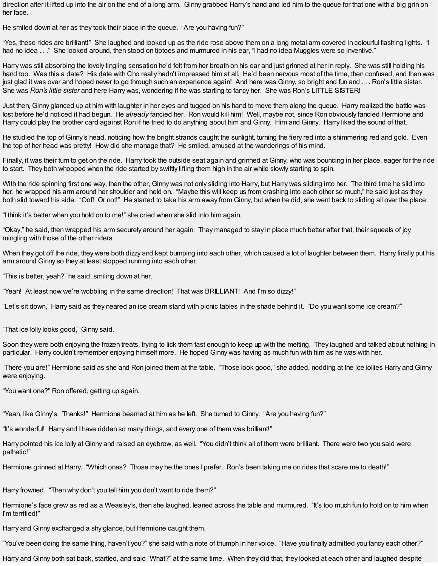direction after it lifted up into the air on the end of a long arm. Ginny grabbed Harry's hand and led him to the queue for that one with a big grin on her face.

He smiled down at her as they took their place in the queue. "Are you having fun?"

"Yes, these rides are brilliant!" She laughed and looked up as the ride rose above them on a long metal arm covered in colourful flashing lights. "I had no idea . . ." She looked around, then stood on tiptoes and murmured in his ear, "I had no idea Muggles were so inventive."

Harry was still absorbing the lovely tingling sensation he'd felt from her breath on his ear and just grinned at her in reply. She was still holding his hand too. Was this a date? His date with Cho really hadn't impressed him at all. He'd been nervous most of the time, then confused, and then was just glad it was over and hoped never to go through such an experience again! And here was Ginny, so bright and fun and . . . Ron's little sister. She was *Ron's little sister* and here Harry was, wondering if he was starting to fancy her. She was Ron's LITTLE SISTER!

Just then, Ginny glanced up at him with laughter in her eyes and tugged on his hand to move them along the queue. Harry realized the battle was lost before he'd noticed it had begun. He *already* fancied her. Ron would kill him! Well, maybe not, since Ron obviously fancied Hermione and Harry could play the brother card against Ron if he tried to do anything about him and Ginny. Him and Ginny. Harry liked the sound of that.

He studied the top of Ginny's head, noticing how the bright strands caught the sunlight, turning the fiery red into a shimmering red and gold. Even the top of her head was pretty! How did she manage that? He smiled, amused at the wanderings of his mind.

Finally, it was their turn to get on the ride. Harry took the outside seat again and grinned at Ginny, who was bouncing in her place, eager for the ride to start. They both whooped when the ride started by swiftly lifting them high in the air while slowly starting to spin.

With the ride spinning first one way, then the other, Ginny was not only sliding into Harry, but Harry was sliding into her. The third time he slid into her, he wrapped his arm around her shoulder and held on. "Maybe this will keep us from crashing into each other so much," he said just as they both slid toward his side. "Oof! Or not!" He started to take his arm away from Ginny, but when he did, she went back to sliding all over the place.

"I think it's better when you hold on to me!" she cried when she slid into him again.

"Okay," he said, then wrapped his arm securely around her again. They managed to stay in place much better after that, their squeals of joy mingling with those of the other riders.

When they got off the ride, they were both dizzy and kept bumping into each other, which caused a lot of laughter between them. Harry finally put his arm around Ginny so they at least stopped running into each other.

"This is better, yeah?" he said, smiling down at her.

"Yeah! At least now we're wobbling in the same direction! That was BRILLIANT! And I'm so dizzy!"

"Let's sit down," Harry said as they neared an ice cream stand with picnic tables in the shade behind it. "Do you want some ice cream?"

"That ice lolly looks good," Ginny said.

Soon they were both enjoying the frozen treats, trying to lick them fast enough to keep up with the melting. They laughed and talked about nothing in particular. Harry couldn't remember enjoying himself more. He hoped Ginny was having as much fun with him as he was with her.

"There you are!" Hermione said as she and Ron joined them at the table. "Those look good," she added, nodding at the ice lollies Harry and Ginny were enjoying.

"You want one?" Ron offered, getting up again.

"Yeah, like Ginny's. Thanks!" Hermione beamed at him as he left. She turned to Ginny. "Are you having fun?"

"It's wonderful! Harry and I have ridden so many things, and every one of them was brilliant!"

Harry pointed his ice lolly at Ginny and raised an eyebrow, as well. "You didn't think all of them were brilliant. There were two you said were pathetic!"

Hermione grinned at Harry. "Which ones? Those may be the ones I prefer. Ron's been taking me on rides that scare me to death!"

Harry frowned. "Then why don't you tell him you don't want to ride them?"

Hermione's face grew as red as a Weasley's, then she laughed, leaned across the table and murmured. "It's too much fun to hold on to him when I'm terrified!"

Harry and Ginny exchanged a shy glance, but Hermione caught them.

"You've been doing the same thing, haven't you?" she said with a note of triumph in her voice. "Have you finally admitted you fancy each other?"

Harry and Ginny both sat back, startled, and said "What?" at the same time. When they did that, they looked at each other and laughed despite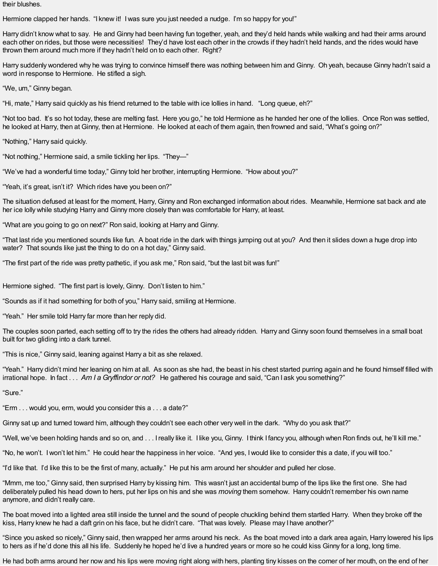their blushes.

Hermione clapped her hands. "I knew it! I was sure you just needed a nudge. I'm so happy for you!"

Harry didn't know what to say. He and Ginny had been having fun together, yeah, and they'd held hands while walking and had their arms around each other on rides, but those were necessities! They'd have lost each other in the crowds if they hadn't held hands, and the rides would have thrown them around much more if they hadn't held on to each other. Right?

Harry suddenly wondered why he was trying to convince himself there was nothing between him and Ginny. Oh yeah, because Ginny hadn't said a word in response to Hermione. He stifled a sigh.

"We, um," Ginny began.

"Hi, mate," Harry said quickly as his friend returned to the table with ice lollies in hand. "Long queue, eh?"

"Not too bad. It's so hot today, these are melting fast. Here you go," he told Hermione as he handed her one of the lollies. Once Ron was settled, he looked at Harry, then at Ginny, then at Hermione. He looked at each of them again, then frowned and said, "What's going on?"

"Nothing," Harry said quickly.

"Not nothing," Hermione said, a smile tickling her lips. "They—"

"We've had a wonderful time today," Ginny told her brother, interrupting Hermione. "How about you?"

"Yeah, it's great, isn't it? Which rides have you been on?"

The situation defused at least for the moment, Harry, Ginny and Ron exchanged information about rides. Meanwhile, Hermione sat back and ate her ice lolly while studying Harry and Ginny more closely than was comfortable for Harry, at least.

"What are you going to go on next?" Ron said, looking at Harry and Ginny.

"That last ride you mentioned sounds like fun. A boat ride in the dark with things jumping out at you? And then it slides down a huge drop into water? That sounds like just the thing to do on a hot day," Ginny said.

"The first part of the ride was pretty pathetic, if you ask me," Ron said, "but the last bit was fun!"

Hermione sighed. "The first part is lovely, Ginny. Don't listen to him."

"Sounds as if it had something for both of you," Harry said, smiling at Hermione.

"Yeah." Her smile told Harry far more than her reply did.

The couples soon parted, each setting off to try the rides the others had already ridden. Harry and Ginny soon found themselves in a small boat built for two gliding into a dark tunnel.

"This is nice," Ginny said, leaning against Harry a bit as she relaxed.

"Yeah." Harry didn't mind her leaning on him at all. As soon as she had, the beast in his chest started purring again and he found himself filled with irrational hope. In fact . . . *Am I a Gryffindor or not?* He gathered his courage and said, "Can I ask you something?"

"Sure."

"Erm . . . would you, erm, would you consider this a . . . a date?"

Ginny sat up and turned toward him, although they couldn't see each other very well in the dark. "Why do you ask that?"

"Well, we've been holding hands and so on, and . . . Ireally like it. I like you, Ginny. I think I fancy you, although when Ron finds out, he'll kill me."

"No, he won't. Iwon't let him." He could hear the happiness in her voice. "And yes, Iwould like to consider this a date, if you will too."

"I'd like that. I'd like this to be the first of many, actually." He put his arm around her shoulder and pulled her close.

"Mmm, me too," Ginny said, then surprised Harry by kissing him. This wasn't just an accidental bump of the lips like the first one. She had deliberately pulled his head down to hers, put her lips on his and she was *moving* them somehow. Harry couldn't remember his own name anymore, and didn't really care.

The boat moved into a lighted area still inside the tunnel and the sound of people chuckling behind them startled Harry. When they broke off the kiss, Harry knew he had a daft grin on his face, but he didn't care. "That was lovely. Please may I have another?"

"Since you asked so nicely," Ginny said, then wrapped her arms around his neck. As the boat moved into a dark area again, Harry lowered his lips to hers as if he'd done this all his life. Suddenly he hoped he'd live a hundred years or more so he could kiss Ginny for a long, long time.

He had both arms around her now and his lips were moving right along with hers, planting tiny kisses on the corner of her mouth, on the end of her